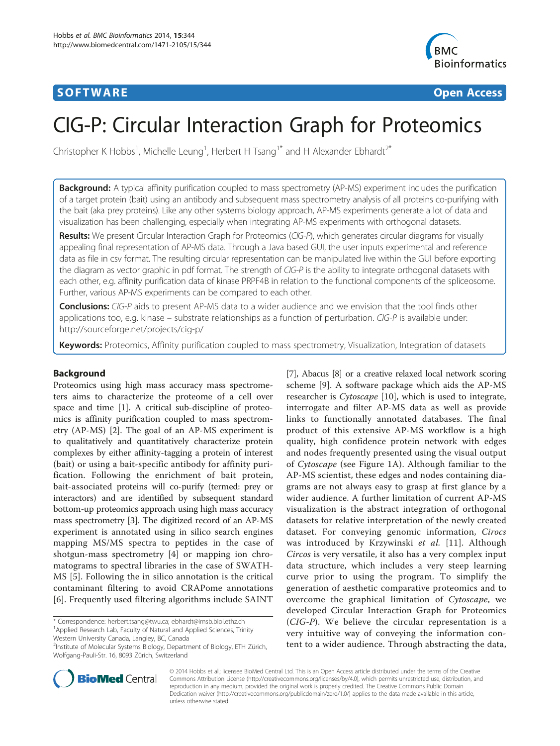## **SOFTWARE SOFTWARE** *CONSERVERSE EXECUTIVE EXECUTIVE EXECUTIVE EXECUTIVE EXECUTIVE EXECUTIVE EXECUTIVE EXECUTIVE EXECUTIVE EXECUTIVE EXECUTIVE EXECUTIVE EXECUTIVE EXECUTIVE EXECUTIVE EXECUTIVE EXECUTIVE EXECUTIVE EXECUT*



# CIG-P: Circular Interaction Graph for Proteomics

Christopher K Hobbs<sup>1</sup>, Michelle Leung<sup>1</sup>, Herbert H Tsang<sup>1\*</sup> and H Alexander Ebhardt<sup>2\*</sup>

**Background:** A typical affinity purification coupled to mass spectrometry (AP-MS) experiment includes the purification of a target protein (bait) using an antibody and subsequent mass spectrometry analysis of all proteins co-purifying with the bait (aka prey proteins). Like any other systems biology approach, AP-MS experiments generate a lot of data and visualization has been challenging, especially when integrating AP-MS experiments with orthogonal datasets.

Results: We present Circular Interaction Graph for Proteomics (CIG-P), which generates circular diagrams for visually appealing final representation of AP-MS data. Through a Java based GUI, the user inputs experimental and reference data as file in csv format. The resulting circular representation can be manipulated live within the GUI before exporting the diagram as vector graphic in pdf format. The strength of CIG-P is the ability to integrate orthogonal datasets with each other, e.g. affinity purification data of kinase PRPF4B in relation to the functional components of the spliceosome. Further, various AP-MS experiments can be compared to each other.

**Conclusions:** CIG-P aids to present AP-MS data to a wider audience and we envision that the tool finds other applications too, e.g. kinase – substrate relationships as a function of perturbation. CIG-P is available under: <http://sourceforge.net/projects/cig-p/>

Keywords: Proteomics, Affinity purification coupled to mass spectrometry, Visualization, Integration of datasets

## Background

Proteomics using high mass accuracy mass spectrometers aims to characterize the proteome of a cell over space and time [[1\]](#page-4-0). A critical sub-discipline of proteomics is affinity purification coupled to mass spectrometry (AP-MS) [[2\]](#page-4-0). The goal of an AP-MS experiment is to qualitatively and quantitatively characterize protein complexes by either affinity-tagging a protein of interest (bait) or using a bait-specific antibody for affinity purification. Following the enrichment of bait protein, bait-associated proteins will co-purify (termed: prey or interactors) and are identified by subsequent standard bottom-up proteomics approach using high mass accuracy mass spectrometry [[3](#page-4-0)]. The digitized record of an AP-MS experiment is annotated using in silico search engines mapping MS/MS spectra to peptides in the case of shotgun-mass spectrometry [[4](#page-4-0)] or mapping ion chromatograms to spectral libraries in the case of SWATH-MS [\[5](#page-4-0)]. Following the in silico annotation is the critical contaminant filtering to avoid CRAPome annotations [[6\]](#page-4-0). Frequently used filtering algorithms include SAINT

\* Correspondence: [herbert.tsang@twu.ca;](mailto:herbert.tsang@twu.ca) [ebhardt@imsb.biol.ethz.ch](mailto:ebhardt@imsb.biol.ethz.ch) <sup>1</sup> <sup>1</sup> Applied Research Lab, Faculty of Natural and Applied Sciences, Trinity

Western University Canada, Langley, BC, Canada

2 Institute of Molecular Systems Biology, Department of Biology, ETH Zürich, Wolfgang-Pauli-Str. 16, 8093 Zürich, Switzerland

[[7](#page-4-0)], Abacus [\[8\]](#page-4-0) or a creative relaxed local network scoring scheme [[9\]](#page-4-0). A software package which aids the AP-MS researcher is Cytoscape [[10\]](#page-4-0), which is used to integrate, interrogate and filter AP-MS data as well as provide links to functionally annotated databases. The final product of this extensive AP-MS workflow is a high quality, high confidence protein network with edges and nodes frequently presented using the visual output of Cytoscape (see Figure [1](#page-2-0)A). Although familiar to the AP-MS scientist, these edges and nodes containing diagrams are not always easy to grasp at first glance by a wider audience. A further limitation of current AP-MS visualization is the abstract integration of orthogonal datasets for relative interpretation of the newly created dataset. For conveying genomic information, Cirocs was introduced by Krzywinski et al. [[11\]](#page-4-0). Although Circos is very versatile, it also has a very complex input data structure, which includes a very steep learning curve prior to using the program. To simplify the generation of aesthetic comparative proteomics and to overcome the graphical limitation of Cytoscape, we developed Circular Interaction Graph for Proteomics (CIG-P). We believe the circular representation is a very intuitive way of conveying the information content to a wider audience. Through abstracting the data,



© 2014 Hobbs et al.; licensee BioMed Central Ltd. This is an Open Access article distributed under the terms of the Creative Commons Attribution License [\(http://creativecommons.org/licenses/by/4.0\)](http://creativecommons.org/licenses/by/4.0), which permits unrestricted use, distribution, and reproduction in any medium, provided the original work is properly credited. The Creative Commons Public Domain Dedication waiver [\(http://creativecommons.org/publicdomain/zero/1.0/](http://creativecommons.org/publicdomain/zero/1.0/)) applies to the data made available in this article, unless otherwise stated.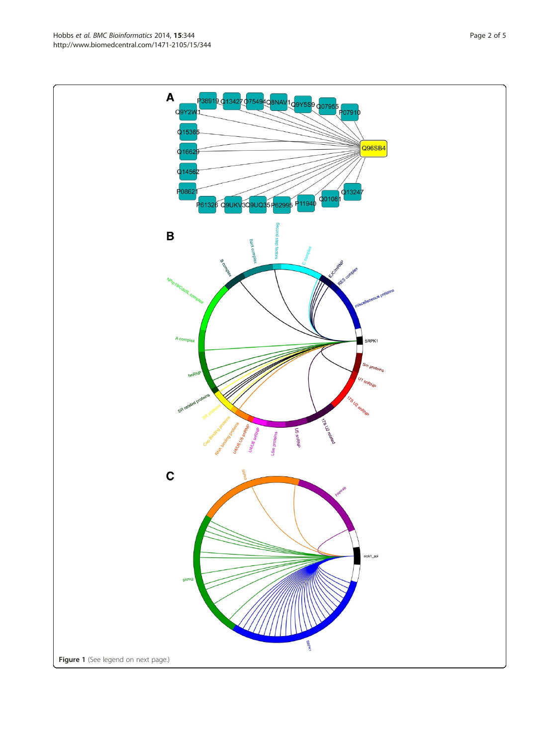Q9Y2V 1791ס Q1536 Q96SB4 Q1662 Q1456 P0862  $Q$ 1324 Q0108 3Q9UQ35 P62995 P<sub>1194</sub> P6132 **BUK**  $\sqrt{2}$  $\, {\bf B}$ Ċ SRPK1  $s_{m_{\rho_n}}$ U<sub>1 SNRNP</sub> U2 snR **TIS DE 16 SIRRNE**  $\mathbf c$ srok1 ppi Figure 1 (See legend on next page.)

 $\boldsymbol{\mathsf{A}}$ 

38919 01342

7549

NA<sup>®</sup>

 $9Y5S$ 9 $0079$ 

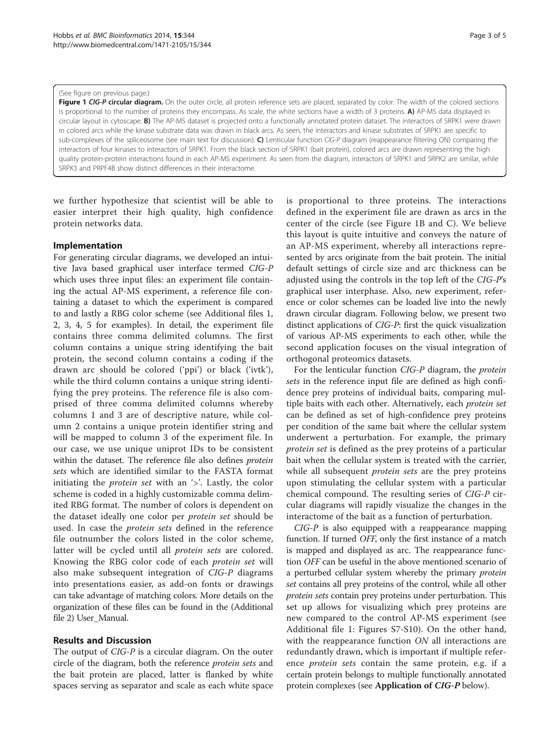#### <span id="page-2-0"></span>(See figure on previous page.)

Figure 1 CIG-P circular diagram. On the outer circle, all protein reference sets are placed, separated by color. The width of the colored sections is proportional to the number of proteins they encompass. As scale, the white sections have a width of 3 proteins. A) AP-MS data displayed in circular layout in cytoscape. B) The AP-MS dataset is projected onto a functionally annotated protein dataset. The interactors of SRPK1 were drawn in colored arcs while the kinase substrate data was drawn in black arcs. As seen, the interactors and kinase substrates of SRPK1 are specific to sub-complexes of the spliceosome (see main text for discussion). C) Lenticular function CIG-P diagram (reappearance filtering ON) comparing the interactors of four kinases to interactors of SRPK1. From the black section of SRPK1 (bait protein), colored arcs are drawn representing the high quality protein-protein interactions found in each AP-MS experiment. As seen from the diagram, interactors of SRPK1 and SRPK2 are similar, while SRPK3 and PRPF4B show distinct differences in their interactome.

we further hypothesize that scientist will be able to easier interpret their high quality, high confidence protein networks data.

## Implementation

For generating circular diagrams, we developed an intuitive Java based graphical user interface termed CIG-P which uses three input files: an experiment file containing the actual AP-MS experiment, a reference file containing a dataset to which the experiment is compared to and lastly a RBG color scheme (see Additional files [1](#page-3-0), [2, 3, 4](#page-3-0), [5](#page-3-0) for examples). In detail, the experiment file contains three comma delimited columns. The first column contains a unique string identifying the bait protein, the second column contains a coding if the drawn arc should be colored ('ppi') or black ('ivtk'), while the third column contains a unique string identifying the prey proteins. The reference file is also comprised of three comma delimited columns whereby columns 1 and 3 are of descriptive nature, while column 2 contains a unique protein identifier string and will be mapped to column 3 of the experiment file. In our case, we use unique uniprot IDs to be consistent within the dataset. The reference file also defines *protein* sets which are identified similar to the FASTA format initiating the *protein set* with an '>'. Lastly, the color scheme is coded in a highly customizable comma delimited RBG format. The number of colors is dependent on the dataset ideally one color per protein set should be used. In case the *protein sets* defined in the reference file outnumber the colors listed in the color scheme, latter will be cycled until all protein sets are colored. Knowing the RBG color code of each protein set will also make subsequent integration of CIG-P diagrams into presentations easier, as add-on fonts or drawings can take advantage of matching colors. More details on the organization of these files can be found in the (Additional file [2\)](#page-3-0) User\_Manual.

## Results and Discussion

The output of CIG-P is a circular diagram. On the outer circle of the diagram, both the reference protein sets and the bait protein are placed, latter is flanked by white spaces serving as separator and scale as each white space

is proportional to three proteins. The interactions defined in the experiment file are drawn as arcs in the center of the circle (see Figure 1B and C). We believe this layout is quite intuitive and conveys the nature of an AP-MS experiment, whereby all interactions represented by arcs originate from the bait protein. The initial default settings of circle size and arc thickness can be adjusted using the controls in the top left of the CIG-P's graphical user interphase. Also, new experiment, reference or color schemes can be loaded live into the newly drawn circular diagram. Following below, we present two distinct applications of CIG-P: first the quick visualization of various AP-MS experiments to each other, while the second application focuses on the visual integration of orthogonal proteomics datasets.

For the lenticular function CIG-P diagram, the protein sets in the reference input file are defined as high confidence prey proteins of individual baits, comparing multiple baits with each other. Alternatively, each *protein set* can be defined as set of high-confidence prey proteins per condition of the same bait where the cellular system underwent a perturbation. For example, the primary protein set is defined as the prey proteins of a particular bait when the cellular system is treated with the carrier, while all subsequent *protein sets* are the prey proteins upon stimulating the cellular system with a particular chemical compound. The resulting series of CIG-P circular diagrams will rapidly visualize the changes in the interactome of the bait as a function of perturbation.

CIG-P is also equipped with a reappearance mapping function. If turned OFF, only the first instance of a match is mapped and displayed as arc. The reappearance function OFF can be useful in the above mentioned scenario of a perturbed cellular system whereby the primary *protein* set contains all prey proteins of the control, while all other protein sets contain prey proteins under perturbation. This set up allows for visualizing which prey proteins are new compared to the control AP-MS experiment (see Additional file [1](#page-3-0): Figures S7-S10). On the other hand, with the reappearance function ON all interactions are redundantly drawn, which is important if multiple reference protein sets contain the same protein, e.g. if a certain protein belongs to multiple functionally annotated protein complexes (see Application of CIG-P below).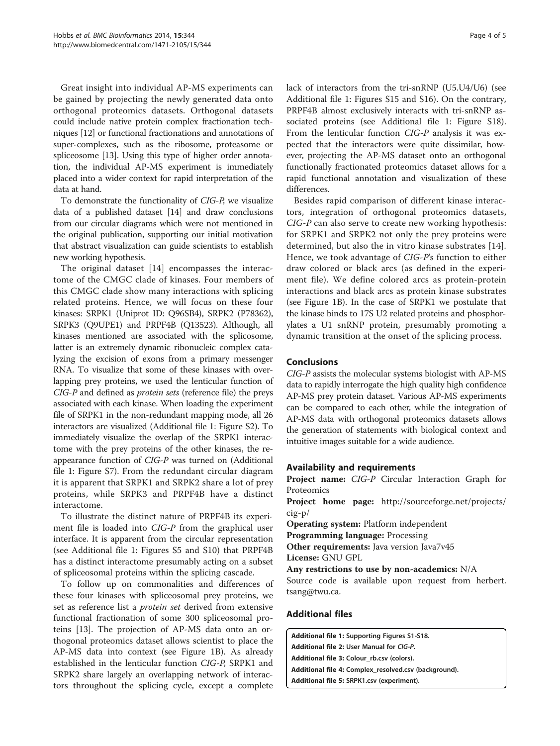<span id="page-3-0"></span>Great insight into individual AP-MS experiments can be gained by projecting the newly generated data onto orthogonal proteomics datasets. Orthogonal datasets could include native protein complex fractionation techniques [[12](#page-4-0)] or functional fractionations and annotations of super-complexes, such as the ribosome, proteasome or spliceosome [[13](#page-4-0)]. Using this type of higher order annotation, the individual AP-MS experiment is immediately placed into a wider context for rapid interpretation of the data at hand.

To demonstrate the functionality of CIG-P, we visualize data of a published dataset [\[14\]](#page-4-0) and draw conclusions from our circular diagrams which were not mentioned in the original publication, supporting our initial motivation that abstract visualization can guide scientists to establish new working hypothesis.

The original dataset [[14\]](#page-4-0) encompasses the interactome of the CMGC clade of kinases. Four members of this CMGC clade show many interactions with splicing related proteins. Hence, we will focus on these four kinases: SRPK1 (Uniprot ID: Q96SB4), SRPK2 (P78362), SRPK3 (Q9UPE1) and PRPF4B (Q13523). Although, all kinases mentioned are associated with the splicosome, latter is an extremely dynamic ribonucleic complex catalyzing the excision of exons from a primary messenger RNA. To visualize that some of these kinases with overlapping prey proteins, we used the lenticular function of CIG-P and defined as protein sets (reference file) the preys associated with each kinase. When loading the experiment file of SRPK1 in the non-redundant mapping mode, all 26 interactors are visualized (Additional file 1: Figure S2). To immediately visualize the overlap of the SRPK1 interactome with the prey proteins of the other kinases, the reappearance function of CIG-P was turned on (Additional file 1: Figure S7). From the redundant circular diagram it is apparent that SRPK1 and SRPK2 share a lot of prey proteins, while SRPK3 and PRPF4B have a distinct interactome.

To illustrate the distinct nature of PRPF4B its experiment file is loaded into CIG-P from the graphical user interface. It is apparent from the circular representation (see Additional file 1: Figures S5 and S10) that PRPF4B has a distinct interactome presumably acting on a subset of spliceosomal proteins within the splicing cascade.

To follow up on commonalities and differences of these four kinases with spliceosomal prey proteins, we set as reference list a *protein set* derived from extensive functional fractionation of some 300 spliceosomal proteins [[13\]](#page-4-0). The projection of AP-MS data onto an orthogonal proteomics dataset allows scientist to place the AP-MS data into context (see Figure [1B](#page-2-0)). As already established in the lenticular function CIG-P, SRPK1 and SRPK2 share largely an overlapping network of interactors throughout the splicing cycle, except a complete lack of interactors from the tri-snRNP (U5.U4/U6) (see Additional file 1: Figures S15 and S16). On the contrary, PRPF4B almost exclusively interacts with tri-snRNP associated proteins (see Additional file 1: Figure S18). From the lenticular function CIG-P analysis it was expected that the interactors were quite dissimilar, however, projecting the AP-MS dataset onto an orthogonal functionally fractionated proteomics dataset allows for a rapid functional annotation and visualization of these differences.

Besides rapid comparison of different kinase interactors, integration of orthogonal proteomics datasets, CIG-P can also serve to create new working hypothesis: for SRPK1 and SRPK2 not only the prey proteins were determined, but also the in vitro kinase substrates [[14](#page-4-0)]. Hence, we took advantage of CIG-P's function to either draw colored or black arcs (as defined in the experiment file). We define colored arcs as protein-protein interactions and black arcs as protein kinase substrates (see Figure [1](#page-2-0)B). In the case of SRPK1 we postulate that the kinase binds to 17S U2 related proteins and phosphorylates a U1 snRNP protein, presumably promoting a dynamic transition at the onset of the splicing process.

## Conclusions

CIG-P assists the molecular systems biologist with AP-MS data to rapidly interrogate the high quality high confidence AP-MS prey protein dataset. Various AP-MS experiments can be compared to each other, while the integration of AP-MS data with orthogonal proteomics datasets allows the generation of statements with biological context and intuitive images suitable for a wide audience.

## Availability and requirements

Project name: CIG-P Circular Interaction Graph for Proteomics

Project home page: [http://sourceforge.net/projects/](http://sourceforge.net/projects/cig-p/) [cig-p/](http://sourceforge.net/projects/cig-p/)

Operating system: Platform independent

Programming language: Processing

Other requirements: Java version Java7v45 License: GNU GPL

Any restrictions to use by non-academics: N/A

Source code is available upon request from herbert. tsang@twu.ca.

## Additional files

[Additional file 1:](http://www.biomedcentral.com/content/supplementary/1471-2105-15-344-S1.pdf) Supporting Figures S1-S18. [Additional file 2:](http://www.biomedcentral.com/content/supplementary/1471-2105-15-344-S2.pdf) User Manual for CIG-P. [Additional file 3:](http://www.biomedcentral.com/content/supplementary/1471-2105-15-344-S3.csv) Colour\_rb.csv (colors). [Additional file 4:](http://www.biomedcentral.com/content/supplementary/1471-2105-15-344-S4.csv) Complex\_resolved.csv (background). [Additional file 5:](http://www.biomedcentral.com/content/supplementary/1471-2105-15-344-S5.csv) SRPK1.csv (experiment).